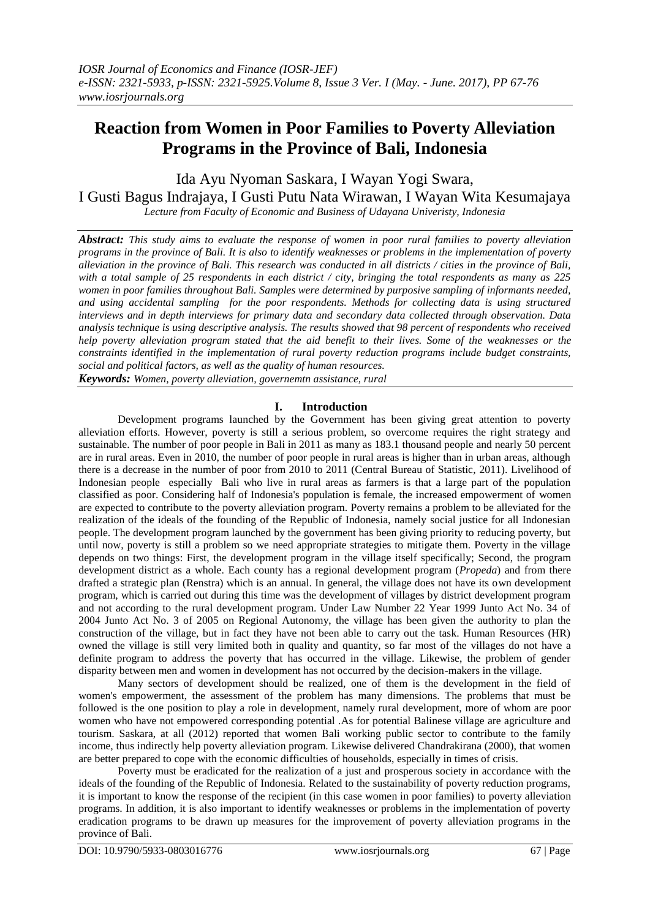# **Reaction from Women in Poor Families to Poverty Alleviation Programs in the Province of Bali, Indonesia**

Ida Ayu Nyoman Saskara, I Wayan Yogi Swara, I Gusti Bagus Indrajaya, I Gusti Putu Nata Wirawan, I Wayan Wita Kesumajaya *Lecture from Faculty of Economic and Business of Udayana Univeristy, Indonesia*

*Abstract: This study aims to evaluate the response of women in poor rural families to poverty alleviation programs in the province of Bali. It is also to identify weaknesses or problems in the implementation of poverty alleviation in the province of Bali. This research was conducted in all districts / cities in the province of Bali, with a total sample of 25 respondents in each district / city, bringing the total respondents as many as 225 women in poor families throughout Bali. Samples were determined by purposive sampling of informants needed, and using accidental sampling for the poor respondents. Methods for collecting data is using structured interviews and in depth interviews for primary data and secondary data collected through observation. Data analysis technique is using descriptive analysis. The results showed that 98 percent of respondents who received help poverty alleviation program stated that the aid benefit to their lives. Some of the weaknesses or the constraints identified in the implementation of rural poverty reduction programs include budget constraints, social and political factors, as well as the quality of human resources.*

*Keywords: Women, poverty alleviation, governemtn assistance, rural*

# **I. Introduction**

Development programs launched by the Government has been giving great attention to poverty alleviation efforts. However, poverty is still a serious problem, so overcome requires the right strategy and sustainable. The number of poor people in Bali in 2011 as many as 183.1 thousand people and nearly 50 percent are in rural areas. Even in 2010, the number of poor people in rural areas is higher than in urban areas, although there is a decrease in the number of poor from 2010 to 2011 (Central Bureau of Statistic, 2011). Livelihood of Indonesian people especially Bali who live in rural areas as farmers is that a large part of the population classified as poor. Considering half of Indonesia's population is female, the increased empowerment of women are expected to contribute to the poverty alleviation program. Poverty remains a problem to be alleviated for the realization of the ideals of the founding of the Republic of Indonesia, namely social justice for all Indonesian people. The development program launched by the government has been giving priority to reducing poverty, but until now, poverty is still a problem so we need appropriate strategies to mitigate them. Poverty in the village depends on two things: First, the development program in the village itself specifically; Second, the program development district as a whole. Each county has a regional development program (*Propeda*) and from there drafted a strategic plan (Renstra) which is an annual. In general, the village does not have its own development program, which is carried out during this time was the development of villages by district development program and not according to the rural development program. Under Law Number 22 Year 1999 Junto Act No. 34 of 2004 Junto Act No. 3 of 2005 on Regional Autonomy, the village has been given the authority to plan the construction of the village, but in fact they have not been able to carry out the task. Human Resources (HR) owned the village is still very limited both in quality and quantity, so far most of the villages do not have a definite program to address the poverty that has occurred in the village. Likewise, the problem of gender disparity between men and women in development has not occurred by the decision-makers in the village.

Many sectors of development should be realized, one of them is the development in the field of women's empowerment, the assessment of the problem has many dimensions. The problems that must be followed is the one position to play a role in development, namely rural development, more of whom are poor women who have not empowered corresponding potential .As for potential Balinese village are agriculture and tourism. Saskara, at all (2012) reported that women Bali working public sector to contribute to the family income, thus indirectly help poverty alleviation program. Likewise delivered Chandrakirana (2000), that women are better prepared to cope with the economic difficulties of households, especially in times of crisis.

Poverty must be eradicated for the realization of a just and prosperous society in accordance with the ideals of the founding of the Republic of Indonesia. Related to the sustainability of poverty reduction programs, it is important to know the response of the recipient (in this case women in poor families) to poverty alleviation programs. In addition, it is also important to identify weaknesses or problems in the implementation of poverty eradication programs to be drawn up measures for the improvement of poverty alleviation programs in the province of Bali.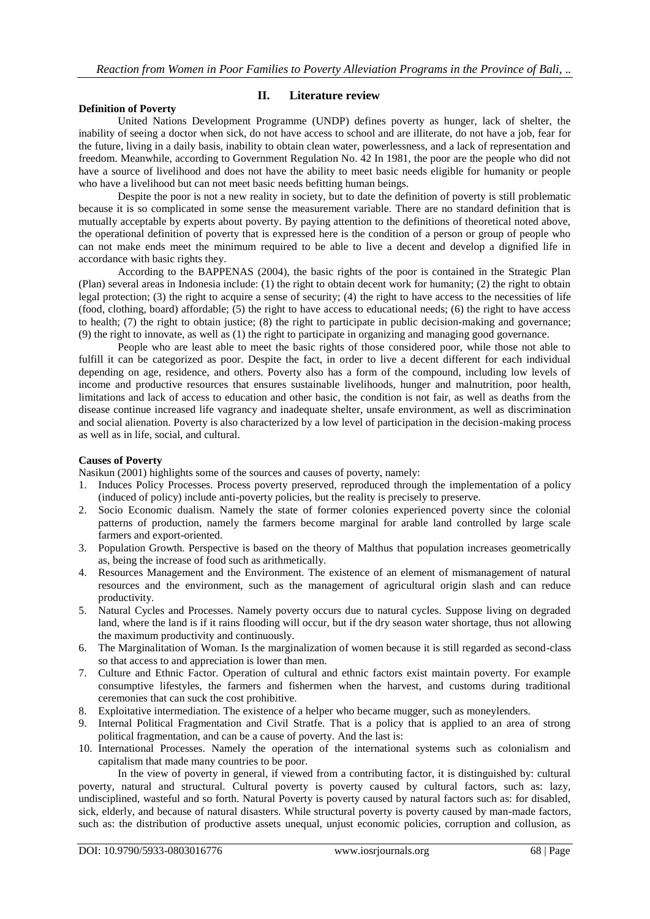#### **Definition of Poverty**

#### **II. Literature review**

United Nations Development Programme (UNDP) defines poverty as hunger, lack of shelter, the inability of seeing a doctor when sick, do not have access to school and are illiterate, do not have a job, fear for the future, living in a daily basis, inability to obtain clean water, powerlessness, and a lack of representation and freedom. Meanwhile, according to Government Regulation No. 42 In 1981, the poor are the people who did not have a source of livelihood and does not have the ability to meet basic needs eligible for humanity or people who have a livelihood but can not meet basic needs befitting human beings.

Despite the poor is not a new reality in society, but to date the definition of poverty is still problematic because it is so complicated in some sense the measurement variable. There are no standard definition that is mutually acceptable by experts about poverty. By paying attention to the definitions of theoretical noted above, the operational definition of poverty that is expressed here is the condition of a person or group of people who can not make ends meet the minimum required to be able to live a decent and develop a dignified life in accordance with basic rights they.

According to the BAPPENAS (2004), the basic rights of the poor is contained in the Strategic Plan (Plan) several areas in Indonesia include: (1) the right to obtain decent work for humanity; (2) the right to obtain legal protection; (3) the right to acquire a sense of security; (4) the right to have access to the necessities of life (food, clothing, board) affordable; (5) the right to have access to educational needs; (6) the right to have access to health; (7) the right to obtain justice; (8) the right to participate in public decision-making and governance; (9) the right to innovate, as well as (1) the right to participate in organizing and managing good governance.

People who are least able to meet the basic rights of those considered poor, while those not able to fulfill it can be categorized as poor. Despite the fact, in order to live a decent different for each individual depending on age, residence, and others. Poverty also has a form of the compound, including low levels of income and productive resources that ensures sustainable livelihoods, hunger and malnutrition, poor health, limitations and lack of access to education and other basic, the condition is not fair, as well as deaths from the disease continue increased life vagrancy and inadequate shelter, unsafe environment, as well as discrimination and social alienation. Poverty is also characterized by a low level of participation in the decision-making process as well as in life, social, and cultural.

#### **Causes of Poverty**

Nasikun (2001) highlights some of the sources and causes of poverty, namely:

- 1. Induces Policy Processes. Process poverty preserved, reproduced through the implementation of a policy (induced of policy) include anti-poverty policies, but the reality is precisely to preserve.
- 2. Socio Economic dualism. Namely the state of former colonies experienced poverty since the colonial patterns of production, namely the farmers become marginal for arable land controlled by large scale farmers and export-oriented.
- 3. Population Growth. Perspective is based on the theory of Malthus that population increases geometrically as, being the increase of food such as arithmetically.
- 4. Resources Management and the Environment. The existence of an element of mismanagement of natural resources and the environment, such as the management of agricultural origin slash and can reduce productivity.
- 5. Natural Cycles and Processes. Namely poverty occurs due to natural cycles. Suppose living on degraded land, where the land is if it rains flooding will occur, but if the dry season water shortage, thus not allowing the maximum productivity and continuously.
- 6. The Marginalitation of Woman. Is the marginalization of women because it is still regarded as second-class so that access to and appreciation is lower than men.
- 7. Culture and Ethnic Factor. Operation of cultural and ethnic factors exist maintain poverty. For example consumptive lifestyles, the farmers and fishermen when the harvest, and customs during traditional ceremonies that can suck the cost prohibitive.
- 8. Exploitative intermediation. The existence of a helper who became mugger, such as moneylenders.
- 9. Internal Political Fragmentation and Civil Stratfe. That is a policy that is applied to an area of strong political fragmentation, and can be a cause of poverty. And the last is:
- 10. International Processes. Namely the operation of the international systems such as colonialism and capitalism that made many countries to be poor.

In the view of poverty in general, if viewed from a contributing factor, it is distinguished by: cultural poverty, natural and structural. Cultural poverty is poverty caused by cultural factors, such as: lazy, undisciplined, wasteful and so forth. Natural Poverty is poverty caused by natural factors such as: for disabled, sick, elderly, and because of natural disasters. While structural poverty is poverty caused by man-made factors, such as: the distribution of productive assets unequal, unjust economic policies, corruption and collusion, as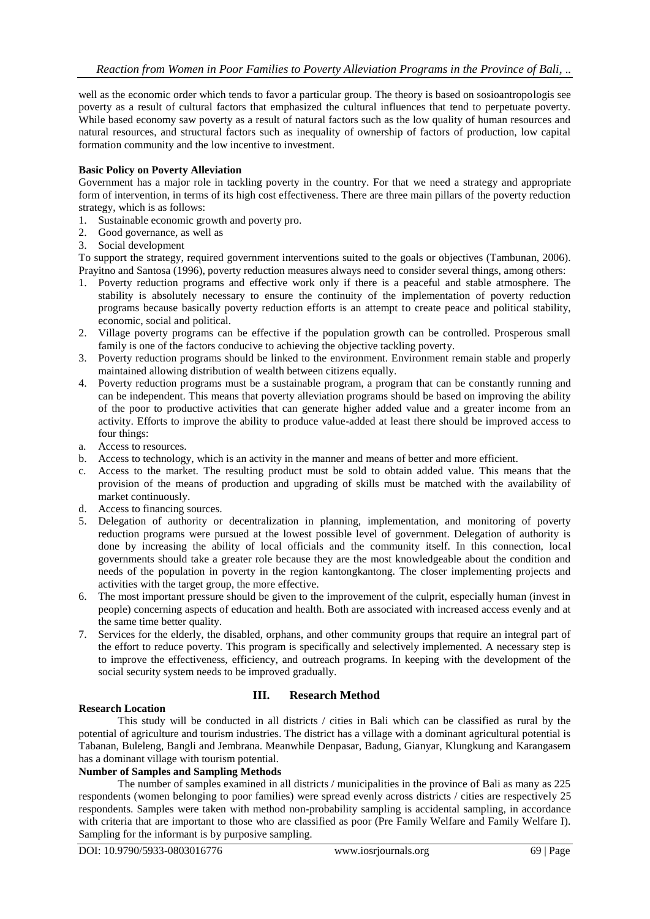well as the economic order which tends to favor a particular group. The theory is based on sosioantropologis see poverty as a result of cultural factors that emphasized the cultural influences that tend to perpetuate poverty. While based economy saw poverty as a result of natural factors such as the low quality of human resources and natural resources, and structural factors such as inequality of ownership of factors of production, low capital formation community and the low incentive to investment.

#### **Basic Policy on Poverty Alleviation**

Government has a major role in tackling poverty in the country. For that we need a strategy and appropriate form of intervention, in terms of its high cost effectiveness. There are three main pillars of the poverty reduction strategy, which is as follows:

- 1. Sustainable economic growth and poverty pro.<br>
2. Good governance, as well as<br>
3. Social development
- Good governance, as well as
- 3. Social development

To support the strategy, required government interventions suited to the goals or objectives (Tambunan, 2006). Prayitno and Santosa (1996), poverty reduction measures always need to consider several things, among others:

- 1. Poverty reduction programs and effective work only if there is a peaceful and stable atmosphere. The stability is absolutely necessary to ensure the continuity of the implementation of poverty reduction programs because basically poverty reduction efforts is an attempt to create peace and political stability, economic, social and political.
- 2. Village poverty programs can be effective if the population growth can be controlled. Prosperous small family is one of the factors conducive to achieving the objective tackling poverty.
- 3. Poverty reduction programs should be linked to the environment. Environment remain stable and properly maintained allowing distribution of wealth between citizens equally.
- 4. Poverty reduction programs must be a sustainable program, a program that can be constantly running and can be independent. This means that poverty alleviation programs should be based on improving the ability of the poor to productive activities that can generate higher added value and a greater income from an activity. Efforts to improve the ability to produce value-added at least there should be improved access to four things:
- a. Access to resources.
- b. Access to technology, which is an activity in the manner and means of better and more efficient.
- c. Access to the market. The resulting product must be sold to obtain added value. This means that the provision of the means of production and upgrading of skills must be matched with the availability of market continuously.
- d. Access to financing sources.
- 5. Delegation of authority or decentralization in planning, implementation, and monitoring of poverty reduction programs were pursued at the lowest possible level of government. Delegation of authority is done by increasing the ability of local officials and the community itself. In this connection, local governments should take a greater role because they are the most knowledgeable about the condition and needs of the population in poverty in the region kantongkantong. The closer implementing projects and activities with the target group, the more effective.
- 6. The most important pressure should be given to the improvement of the culprit, especially human (invest in people) concerning aspects of education and health. Both are associated with increased access evenly and at the same time better quality.
- 7. Services for the elderly, the disabled, orphans, and other community groups that require an integral part of the effort to reduce poverty. This program is specifically and selectively implemented. A necessary step is to improve the effectiveness, efficiency, and outreach programs. In keeping with the development of the social security system needs to be improved gradually.

# **III. Research Method**

#### **Research Location**

This study will be conducted in all districts / cities in Bali which can be classified as rural by the potential of agriculture and tourism industries. The district has a village with a dominant agricultural potential is Tabanan, Buleleng, Bangli and Jembrana. Meanwhile Denpasar, Badung, Gianyar, Klungkung and Karangasem has a dominant village with tourism potential.

# **Number of Samples and Sampling Methods**

The number of samples examined in all districts / municipalities in the province of Bali as many as 225 respondents (women belonging to poor families) were spread evenly across districts / cities are respectively 25 respondents. Samples were taken with method non-probability sampling is accidental sampling, in accordance with criteria that are important to those who are classified as poor (Pre Family Welfare and Family Welfare I). Sampling for the informant is by purposive sampling.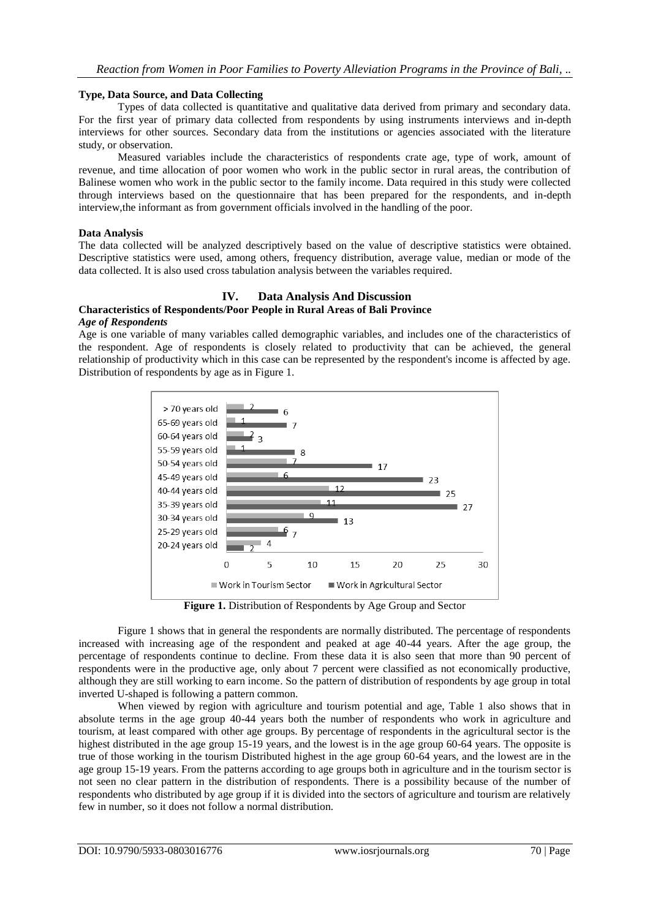#### **Type, Data Source, and Data Collecting**

Types of data collected is quantitative and qualitative data derived from primary and secondary data. For the first year of primary data collected from respondents by using instruments interviews and in-depth interviews for other sources. Secondary data from the institutions or agencies associated with the literature study, or observation.

Measured variables include the characteristics of respondents crate age, type of work, amount of revenue, and time allocation of poor women who work in the public sector in rural areas, the contribution of Balinese women who work in the public sector to the family income. Data required in this study were collected through interviews based on the questionnaire that has been prepared for the respondents, and in-depth interview,the informant as from government officials involved in the handling of the poor.

#### **Data Analysis**

The data collected will be analyzed descriptively based on the value of descriptive statistics were obtained. Descriptive statistics were used, among others, frequency distribution, average value, median or mode of the data collected. It is also used cross tabulation analysis between the variables required.

# **IV. Data Analysis And Discussion**

# **Characteristics of Respondents/Poor People in Rural Areas of Bali Province**

#### *Age of Respondents*

Age is one variable of many variables called demographic variables, and includes one of the characteristics of the respondent. Age of respondents is closely related to productivity that can be achieved, the general relationship of productivity which in this case can be represented by the respondent's income is affected by age. Distribution of respondents by age as in Figure 1.



**Figure 1.** Distribution of Respondents by Age Group and Sector

Figure 1 shows that in general the respondents are normally distributed. The percentage of respondents increased with increasing age of the respondent and peaked at age 40-44 years. After the age group, the percentage of respondents continue to decline. From these data it is also seen that more than 90 percent of respondents were in the productive age, only about 7 percent were classified as not economically productive, although they are still working to earn income. So the pattern of distribution of respondents by age group in total inverted U-shaped is following a pattern common.

When viewed by region with agriculture and tourism potential and age, Table 1 also shows that in absolute terms in the age group 40-44 years both the number of respondents who work in agriculture and tourism, at least compared with other age groups. By percentage of respondents in the agricultural sector is the highest distributed in the age group 15-19 years, and the lowest is in the age group 60-64 years. The opposite is true of those working in the tourism Distributed highest in the age group 60-64 years, and the lowest are in the age group 15-19 years. From the patterns according to age groups both in agriculture and in the tourism sector is not seen no clear pattern in the distribution of respondents. There is a possibility because of the number of respondents who distributed by age group if it is divided into the sectors of agriculture and tourism are relatively few in number, so it does not follow a normal distribution.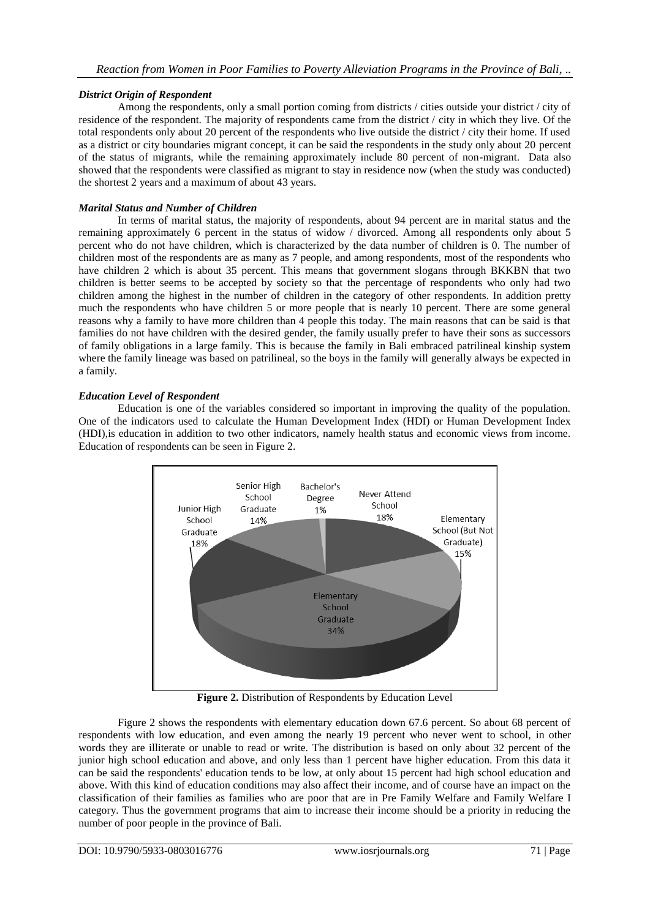# *District Origin of Respondent*

Among the respondents, only a small portion coming from districts / cities outside your district / city of residence of the respondent. The majority of respondents came from the district / city in which they live. Of the total respondents only about 20 percent of the respondents who live outside the district / city their home. If used as a district or city boundaries migrant concept, it can be said the respondents in the study only about 20 percent of the status of migrants, while the remaining approximately include 80 percent of non-migrant. Data also showed that the respondents were classified as migrant to stay in residence now (when the study was conducted) the shortest 2 years and a maximum of about 43 years.

# *Marital Status and Number of Children*

In terms of marital status, the majority of respondents, about 94 percent are in marital status and the remaining approximately 6 percent in the status of widow / divorced. Among all respondents only about 5 percent who do not have children, which is characterized by the data number of children is 0. The number of children most of the respondents are as many as 7 people, and among respondents, most of the respondents who have children 2 which is about 35 percent. This means that government slogans through BKKBN that two children is better seems to be accepted by society so that the percentage of respondents who only had two children among the highest in the number of children in the category of other respondents. In addition pretty much the respondents who have children 5 or more people that is nearly 10 percent. There are some general reasons why a family to have more children than 4 people this today. The main reasons that can be said is that families do not have children with the desired gender, the family usually prefer to have their sons as successors of family obligations in a large family. This is because the family in Bali embraced patrilineal kinship system where the family lineage was based on patrilineal, so the boys in the family will generally always be expected in a family.

# *Education Level of Respondent*

Education is one of the variables considered so important in improving the quality of the population. One of the indicators used to calculate the Human Development Index (HDI) or Human Development Index (HDI),is education in addition to two other indicators, namely health status and economic views from income. Education of respondents can be seen in Figure 2.



**Figure 2.** Distribution of Respondents by Education Level

Figure 2 shows the respondents with elementary education down 67.6 percent. So about 68 percent of respondents with low education, and even among the nearly 19 percent who never went to school, in other words they are illiterate or unable to read or write. The distribution is based on only about 32 percent of the junior high school education and above, and only less than 1 percent have higher education. From this data it can be said the respondents' education tends to be low, at only about 15 percent had high school education and above. With this kind of education conditions may also affect their income, and of course have an impact on the classification of their families as families who are poor that are in Pre Family Welfare and Family Welfare I category. Thus the government programs that aim to increase their income should be a priority in reducing the number of poor people in the province of Bali.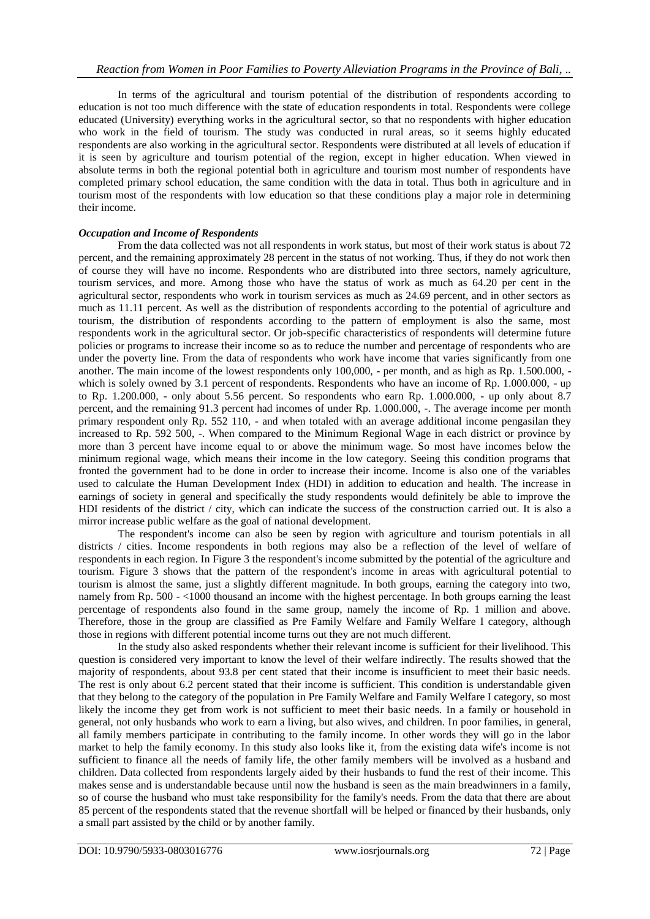In terms of the agricultural and tourism potential of the distribution of respondents according to education is not too much difference with the state of education respondents in total. Respondents were college educated (University) everything works in the agricultural sector, so that no respondents with higher education who work in the field of tourism. The study was conducted in rural areas, so it seems highly educated respondents are also working in the agricultural sector. Respondents were distributed at all levels of education if it is seen by agriculture and tourism potential of the region, except in higher education. When viewed in absolute terms in both the regional potential both in agriculture and tourism most number of respondents have completed primary school education, the same condition with the data in total. Thus both in agriculture and in tourism most of the respondents with low education so that these conditions play a major role in determining their income.

# *Occupation and Income of Respondents*

From the data collected was not all respondents in work status, but most of their work status is about 72 percent, and the remaining approximately 28 percent in the status of not working. Thus, if they do not work then of course they will have no income. Respondents who are distributed into three sectors, namely agriculture, tourism services, and more. Among those who have the status of work as much as 64.20 per cent in the agricultural sector, respondents who work in tourism services as much as 24.69 percent, and in other sectors as much as 11.11 percent. As well as the distribution of respondents according to the potential of agriculture and tourism, the distribution of respondents according to the pattern of employment is also the same, most respondents work in the agricultural sector. Or job-specific characteristics of respondents will determine future policies or programs to increase their income so as to reduce the number and percentage of respondents who are under the poverty line. From the data of respondents who work have income that varies significantly from one another. The main income of the lowest respondents only 100,000, - per month, and as high as Rp. 1.500.000, which is solely owned by 3.1 percent of respondents. Respondents who have an income of Rp. 1.000.000, - up to Rp. 1.200.000, - only about 5.56 percent. So respondents who earn Rp. 1.000.000, - up only about 8.7 percent, and the remaining 91.3 percent had incomes of under Rp. 1.000.000, -. The average income per month primary respondent only Rp. 552 110, - and when totaled with an average additional income pengasilan they increased to Rp. 592 500, -. When compared to the Minimum Regional Wage in each district or province by more than 3 percent have income equal to or above the minimum wage. So most have incomes below the minimum regional wage, which means their income in the low category. Seeing this condition programs that fronted the government had to be done in order to increase their income. Income is also one of the variables used to calculate the Human Development Index (HDI) in addition to education and health. The increase in earnings of society in general and specifically the study respondents would definitely be able to improve the HDI residents of the district / city, which can indicate the success of the construction carried out. It is also a mirror increase public welfare as the goal of national development.

The respondent's income can also be seen by region with agriculture and tourism potentials in all districts / cities. Income respondents in both regions may also be a reflection of the level of welfare of respondents in each region. In Figure 3 the respondent's income submitted by the potential of the agriculture and tourism. Figure 3 shows that the pattern of the respondent's income in areas with agricultural potential to tourism is almost the same, just a slightly different magnitude. In both groups, earning the category into two, namely from Rp. 500 - <1000 thousand an income with the highest percentage. In both groups earning the least percentage of respondents also found in the same group, namely the income of Rp. 1 million and above. Therefore, those in the group are classified as Pre Family Welfare and Family Welfare I category, although those in regions with different potential income turns out they are not much different.

In the study also asked respondents whether their relevant income is sufficient for their livelihood. This question is considered very important to know the level of their welfare indirectly. The results showed that the majority of respondents, about 93.8 per cent stated that their income is insufficient to meet their basic needs. The rest is only about 6.2 percent stated that their income is sufficient. This condition is understandable given that they belong to the category of the population in Pre Family Welfare and Family Welfare I category, so most likely the income they get from work is not sufficient to meet their basic needs. In a family or household in general, not only husbands who work to earn a living, but also wives, and children. In poor families, in general, all family members participate in contributing to the family income. In other words they will go in the labor market to help the family economy. In this study also looks like it, from the existing data wife's income is not sufficient to finance all the needs of family life, the other family members will be involved as a husband and children. Data collected from respondents largely aided by their husbands to fund the rest of their income. This makes sense and is understandable because until now the husband is seen as the main breadwinners in a family, so of course the husband who must take responsibility for the family's needs. From the data that there are about 85 percent of the respondents stated that the revenue shortfall will be helped or financed by their husbands, only a small part assisted by the child or by another family.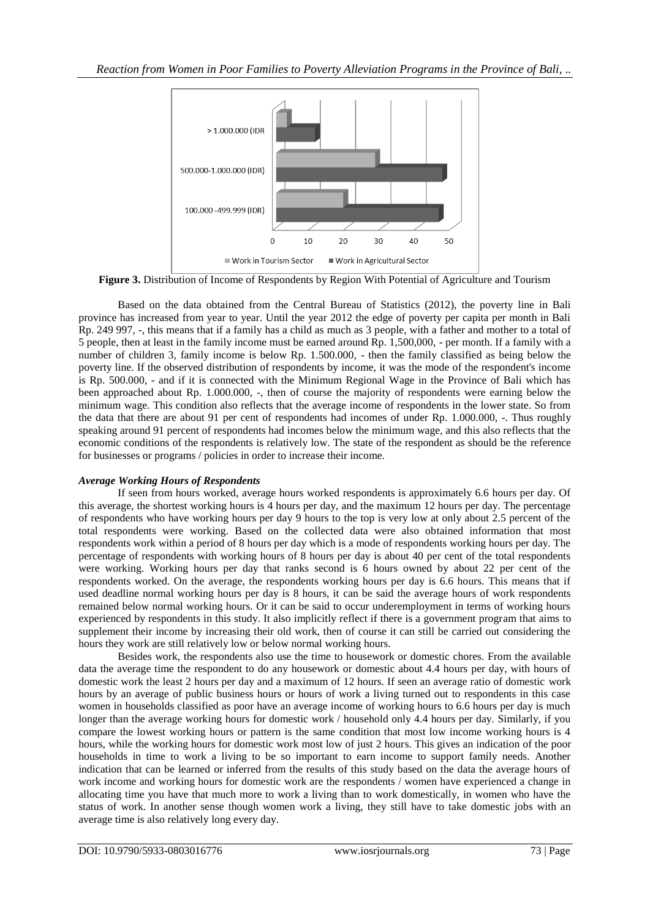

**Figure 3.** Distribution of Income of Respondents by Region With Potential of Agriculture and Tourism

Based on the data obtained from the Central Bureau of Statistics (2012), the poverty line in Bali province has increased from year to year. Until the year 2012 the edge of poverty per capita per month in Bali Rp. 249 997, -, this means that if a family has a child as much as 3 people, with a father and mother to a total of 5 people, then at least in the family income must be earned around Rp. 1,500,000, - per month. If a family with a number of children 3, family income is below Rp. 1.500.000, - then the family classified as being below the poverty line. If the observed distribution of respondents by income, it was the mode of the respondent's income is Rp. 500.000, - and if it is connected with the Minimum Regional Wage in the Province of Bali which has been approached about Rp. 1.000.000, -, then of course the majority of respondents were earning below the minimum wage. This condition also reflects that the average income of respondents in the lower state. So from the data that there are about 91 per cent of respondents had incomes of under Rp. 1.000.000, -. Thus roughly speaking around 91 percent of respondents had incomes below the minimum wage, and this also reflects that the economic conditions of the respondents is relatively low. The state of the respondent as should be the reference for businesses or programs / policies in order to increase their income.

# *Average Working Hours of Respondents*

If seen from hours worked, average hours worked respondents is approximately 6.6 hours per day. Of this average, the shortest working hours is 4 hours per day, and the maximum 12 hours per day. The percentage of respondents who have working hours per day 9 hours to the top is very low at only about 2.5 percent of the total respondents were working. Based on the collected data were also obtained information that most respondents work within a period of 8 hours per day which is a mode of respondents working hours per day. The percentage of respondents with working hours of 8 hours per day is about 40 per cent of the total respondents were working. Working hours per day that ranks second is 6 hours owned by about 22 per cent of the respondents worked. On the average, the respondents working hours per day is 6.6 hours. This means that if used deadline normal working hours per day is 8 hours, it can be said the average hours of work respondents remained below normal working hours. Or it can be said to occur underemployment in terms of working hours experienced by respondents in this study. It also implicitly reflect if there is a government program that aims to supplement their income by increasing their old work, then of course it can still be carried out considering the hours they work are still relatively low or below normal working hours.

Besides work, the respondents also use the time to housework or domestic chores. From the available data the average time the respondent to do any housework or domestic about 4.4 hours per day, with hours of domestic work the least 2 hours per day and a maximum of 12 hours. If seen an average ratio of domestic work hours by an average of public business hours or hours of work a living turned out to respondents in this case women in households classified as poor have an average income of working hours to 6.6 hours per day is much longer than the average working hours for domestic work / household only 4.4 hours per day. Similarly, if you compare the lowest working hours or pattern is the same condition that most low income working hours is 4 hours, while the working hours for domestic work most low of just 2 hours. This gives an indication of the poor households in time to work a living to be so important to earn income to support family needs. Another indication that can be learned or inferred from the results of this study based on the data the average hours of work income and working hours for domestic work are the respondents / women have experienced a change in allocating time you have that much more to work a living than to work domestically, in women who have the status of work. In another sense though women work a living, they still have to take domestic jobs with an average time is also relatively long every day.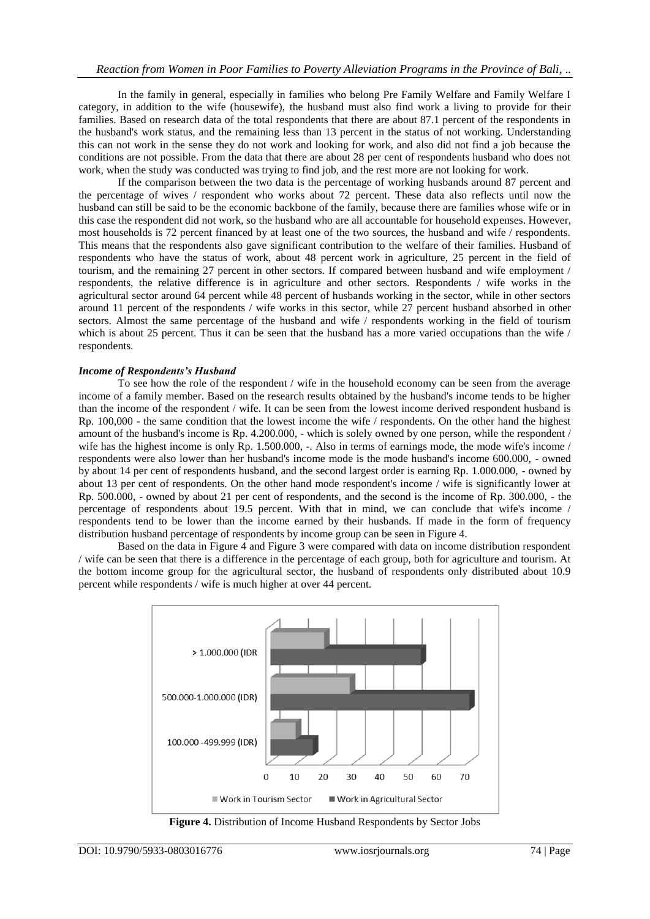In the family in general, especially in families who belong Pre Family Welfare and Family Welfare I category, in addition to the wife (housewife), the husband must also find work a living to provide for their families. Based on research data of the total respondents that there are about 87.1 percent of the respondents in the husband's work status, and the remaining less than 13 percent in the status of not working. Understanding this can not work in the sense they do not work and looking for work, and also did not find a job because the conditions are not possible. From the data that there are about 28 per cent of respondents husband who does not work, when the study was conducted was trying to find job, and the rest more are not looking for work.

If the comparison between the two data is the percentage of working husbands around 87 percent and the percentage of wives / respondent who works about 72 percent. These data also reflects until now the husband can still be said to be the economic backbone of the family, because there are families whose wife or in this case the respondent did not work, so the husband who are all accountable for household expenses. However, most households is 72 percent financed by at least one of the two sources, the husband and wife / respondents. This means that the respondents also gave significant contribution to the welfare of their families. Husband of respondents who have the status of work, about 48 percent work in agriculture, 25 percent in the field of tourism, and the remaining 27 percent in other sectors. If compared between husband and wife employment / respondents, the relative difference is in agriculture and other sectors. Respondents / wife works in the agricultural sector around 64 percent while 48 percent of husbands working in the sector, while in other sectors around 11 percent of the respondents / wife works in this sector, while 27 percent husband absorbed in other sectors. Almost the same percentage of the husband and wife / respondents working in the field of tourism which is about 25 percent. Thus it can be seen that the husband has a more varied occupations than the wife / respondents.

#### *Income of Respondents's Husband*

To see how the role of the respondent / wife in the household economy can be seen from the average income of a family member. Based on the research results obtained by the husband's income tends to be higher than the income of the respondent / wife. It can be seen from the lowest income derived respondent husband is Rp. 100,000 - the same condition that the lowest income the wife / respondents. On the other hand the highest amount of the husband's income is Rp. 4.200.000, - which is solely owned by one person, while the respondent / wife has the highest income is only Rp. 1.500.000, -. Also in terms of earnings mode, the mode wife's income / respondents were also lower than her husband's income mode is the mode husband's income 600.000, - owned by about 14 per cent of respondents husband, and the second largest order is earning Rp. 1.000.000, - owned by about 13 per cent of respondents. On the other hand mode respondent's income / wife is significantly lower at Rp. 500.000, - owned by about 21 per cent of respondents, and the second is the income of Rp. 300.000, - the percentage of respondents about 19.5 percent. With that in mind, we can conclude that wife's income / respondents tend to be lower than the income earned by their husbands. If made in the form of frequency distribution husband percentage of respondents by income group can be seen in Figure 4.

Based on the data in Figure 4 and Figure 3 were compared with data on income distribution respondent / wife can be seen that there is a difference in the percentage of each group, both for agriculture and tourism. At the bottom income group for the agricultural sector, the husband of respondents only distributed about 10.9 percent while respondents / wife is much higher at over 44 percent.



**Figure 4.** Distribution of Income Husband Respondents by Sector Jobs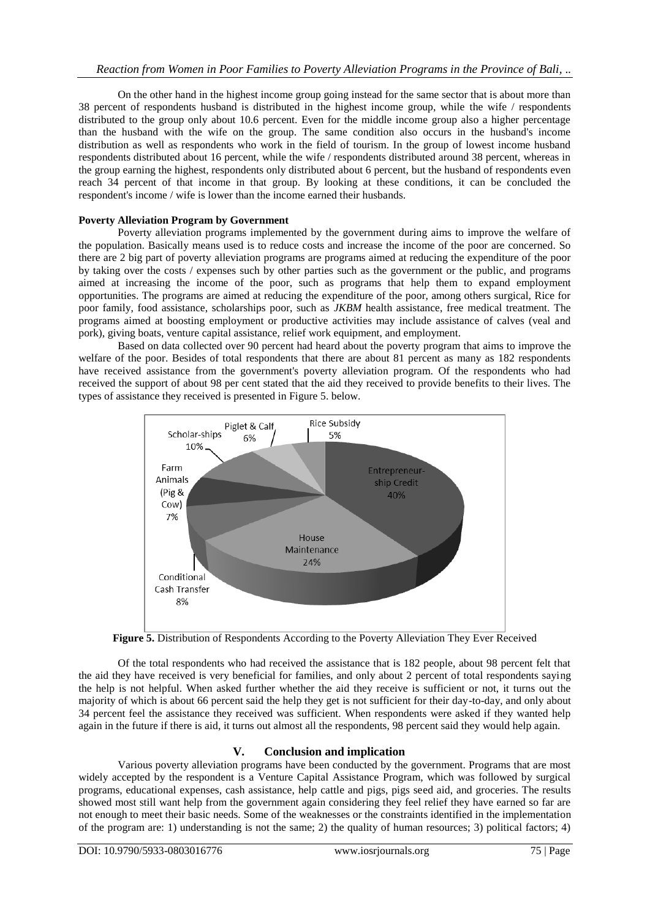On the other hand in the highest income group going instead for the same sector that is about more than 38 percent of respondents husband is distributed in the highest income group, while the wife / respondents distributed to the group only about 10.6 percent. Even for the middle income group also a higher percentage than the husband with the wife on the group. The same condition also occurs in the husband's income distribution as well as respondents who work in the field of tourism. In the group of lowest income husband respondents distributed about 16 percent, while the wife / respondents distributed around 38 percent, whereas in the group earning the highest, respondents only distributed about 6 percent, but the husband of respondents even reach 34 percent of that income in that group. By looking at these conditions, it can be concluded the respondent's income / wife is lower than the income earned their husbands.

# **Poverty Alleviation Program by Government**

Poverty alleviation programs implemented by the government during aims to improve the welfare of the population. Basically means used is to reduce costs and increase the income of the poor are concerned. So there are 2 big part of poverty alleviation programs are programs aimed at reducing the expenditure of the poor by taking over the costs / expenses such by other parties such as the government or the public, and programs aimed at increasing the income of the poor, such as programs that help them to expand employment opportunities. The programs are aimed at reducing the expenditure of the poor, among others surgical, Rice for poor family, food assistance, scholarships poor, such as *JKBM* health assistance, free medical treatment. The programs aimed at boosting employment or productive activities may include assistance of calves (veal and pork), giving boats, venture capital assistance, relief work equipment, and employment.

Based on data collected over 90 percent had heard about the poverty program that aims to improve the welfare of the poor. Besides of total respondents that there are about 81 percent as many as 182 respondents have received assistance from the government's poverty alleviation program. Of the respondents who had received the support of about 98 per cent stated that the aid they received to provide benefits to their lives. The types of assistance they received is presented in Figure 5. below.



**Figure 5.** Distribution of Respondents According to the Poverty Alleviation They Ever Received

Of the total respondents who had received the assistance that is 182 people, about 98 percent felt that the aid they have received is very beneficial for families, and only about 2 percent of total respondents saying the help is not helpful. When asked further whether the aid they receive is sufficient or not, it turns out the majority of which is about 66 percent said the help they get is not sufficient for their day-to-day, and only about 34 percent feel the assistance they received was sufficient. When respondents were asked if they wanted help again in the future if there is aid, it turns out almost all the respondents, 98 percent said they would help again.

# **V. Conclusion and implication**

Various poverty alleviation programs have been conducted by the government. Programs that are most widely accepted by the respondent is a Venture Capital Assistance Program, which was followed by surgical programs, educational expenses, cash assistance, help cattle and pigs, pigs seed aid, and groceries. The results showed most still want help from the government again considering they feel relief they have earned so far are not enough to meet their basic needs. Some of the weaknesses or the constraints identified in the implementation of the program are: 1) understanding is not the same; 2) the quality of human resources; 3) political factors; 4)